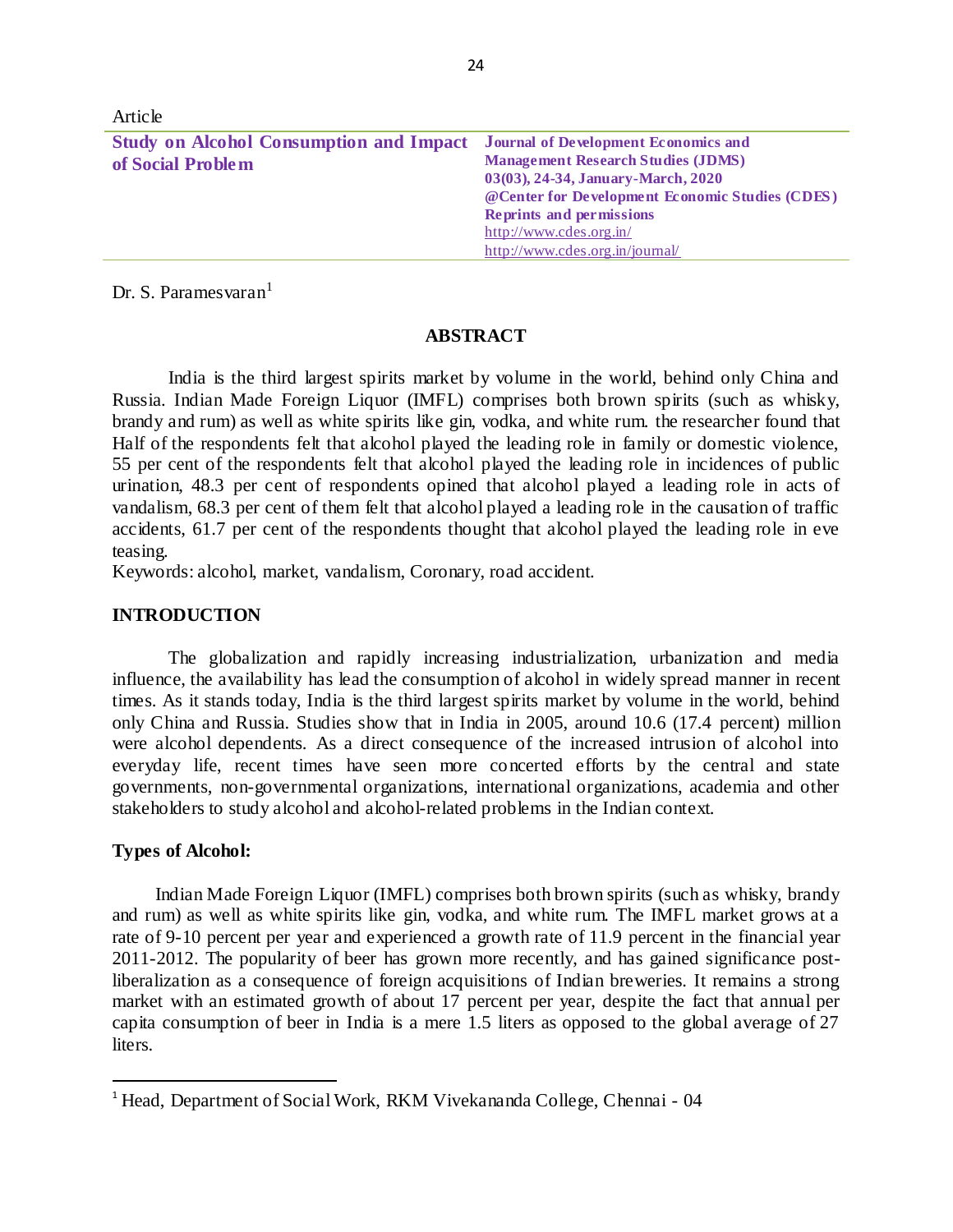| TM LIVIV                                       |                                                 |
|------------------------------------------------|-------------------------------------------------|
| <b>Study on Alcohol Consumption and Impact</b> | <b>Journal of Development Economics and</b>     |
| of Social Problem                              | <b>Management Research Studies (JDMS)</b>       |
|                                                | 03(03), 24-34, January-March, 2020              |
|                                                | @Center for Development Economic Studies (CDES) |
|                                                | <b>Reprints and permissions</b>                 |
|                                                | http://www.cdes.org.in/                         |
|                                                | http://www.cdes.org.in/journal/                 |

Dr. S. Paramesvaran<sup>1</sup>

Article

## **ABSTRACT**

India is the third largest spirits market by volume in the world, behind only China and Russia. Indian Made Foreign Liquor (IMFL) comprises both brown spirits (such as whisky, brandy and rum) as well as white spirits like gin, vodka, and white rum. the researcher found that Half of the respondents felt that alcohol played the leading role in family or domestic violence, 55 per cent of the respondents felt that alcohol played the leading role in incidences of public urination, 48.3 per cent of respondents opined that alcohol played a leading role in acts of vandalism, 68.3 per cent of them felt that alcohol played a leading role in the causation of traffic accidents, 61.7 per cent of the respondents thought that alcohol played the leading role in eve teasing.

Keywords: alcohol, market, vandalism, Coronary, road accident.

## **INTRODUCTION**

The globalization and rapidly increasing industrialization, urbanization and media influence, the availability has lead the consumption of alcohol in widely spread manner in recent times. As it stands today, India is the third largest spirits market by volume in the world, behind only China and Russia. Studies show that in India in 2005, around 10.6 (17.4 percent) million were alcohol dependents. As a direct consequence of the increased intrusion of alcohol into everyday life, recent times have seen more concerted efforts by the central and state governments, non-governmental organizations, international organizations, academia and other stakeholders to study alcohol and alcohol-related problems in the Indian context.

#### **Types of Alcohol:**

 $\ddot{\phantom{a}}$ 

Indian Made Foreign Liquor (IMFL) comprises both brown spirits (such as whisky, brandy and rum) as well as white spirits like gin, vodka, and white rum. The IMFL market grows at a rate of 9-10 percent per year and experienced a growth rate of 11.9 percent in the financial year 2011-2012. The popularity of beer has grown more recently, and has gained significance postliberalization as a consequence of foreign acquisitions of Indian breweries. It remains a strong market with an estimated growth of about 17 percent per year, despite the fact that annual per capita consumption of beer in India is a mere 1.5 liters as opposed to the global average of 27 liters.

<sup>&</sup>lt;sup>1</sup> Head, Department of Social Work, RKM Vivekananda College, Chennai - 04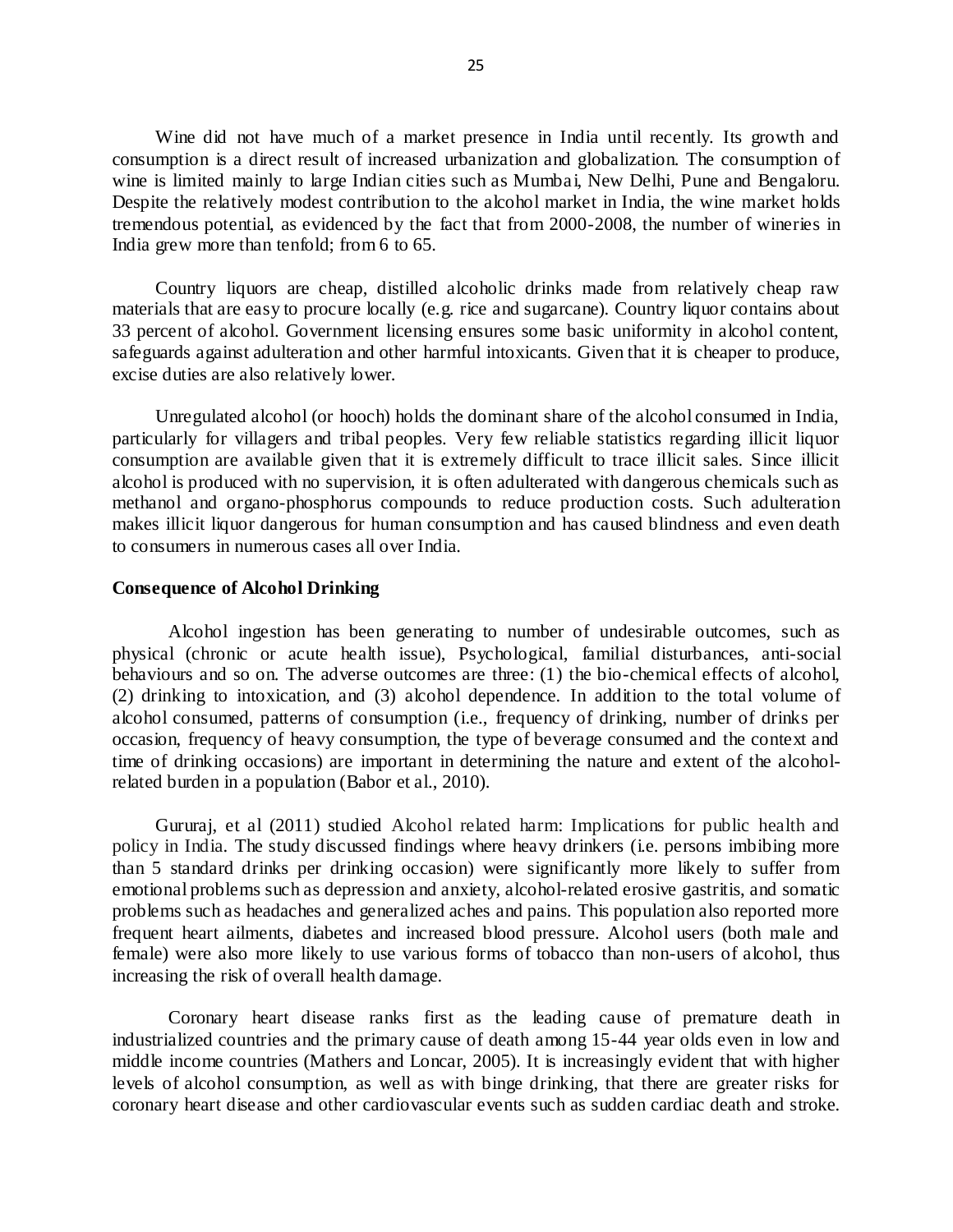Wine did not have much of a market presence in India until recently. Its growth and consumption is a direct result of increased urbanization and globalization. The consumption of wine is limited mainly to large Indian cities such as Mumbai, New Delhi, Pune and Bengaloru. Despite the relatively modest contribution to the alcohol market in India, the wine market holds tremendous potential, as evidenced by the fact that from 2000-2008, the number of wineries in India grew more than tenfold; from 6 to 65.

Country liquors are cheap, distilled alcoholic drinks made from relatively cheap raw materials that are easy to procure locally (e.g. rice and sugarcane). Country liquor contains about 33 percent of alcohol. Government licensing ensures some basic uniformity in alcohol content, safeguards against adulteration and other harmful intoxicants. Given that it is cheaper to produce, excise duties are also relatively lower.

Unregulated alcohol (or hooch) holds the dominant share of the alcohol consumed in India, particularly for villagers and tribal peoples. Very few reliable statistics regarding illicit liquor consumption are available given that it is extremely difficult to trace illicit sales. Since illicit alcohol is produced with no supervision, it is often adulterated with dangerous chemicals such as methanol and organo-phosphorus compounds to reduce production costs. Such adulteration makes illicit liquor dangerous for human consumption and has caused blindness and even death to consumers in numerous cases all over India.

#### **Consequence of Alcohol Drinking**

Alcohol ingestion has been generating to number of undesirable outcomes, such as physical (chronic or acute health issue), Psychological, familial disturbances, anti-social behaviours and so on. The adverse outcomes are three: (1) the bio-chemical effects of alcohol, (2) drinking to intoxication, and (3) alcohol dependence. In addition to the total volume of alcohol consumed, patterns of consumption (i.e., frequency of drinking, number of drinks per occasion, frequency of heavy consumption, the type of beverage consumed and the context and time of drinking occasions) are important in determining the nature and extent of the alcoholrelated burden in a population (Babor et al., 2010).

Gururaj, et al (2011) studied Alcohol related harm: Implications for public health and policy in India. The study discussed findings where heavy drinkers (i.e. persons imbibing more than 5 standard drinks per drinking occasion) were significantly more likely to suffer from emotional problems such as depression and anxiety, alcohol-related erosive gastritis, and somatic problems such as headaches and generalized aches and pains. This population also reported more frequent heart ailments, diabetes and increased blood pressure. Alcohol users (both male and female) were also more likely to use various forms of tobacco than non-users of alcohol, thus increasing the risk of overall health damage.

Coronary heart disease ranks first as the leading cause of premature death in industrialized countries and the primary cause of death among 15-44 year olds even in low and middle income countries (Mathers and Loncar, 2005). It is increasingly evident that with higher levels of alcohol consumption, as well as with binge drinking, that there are greater risks for coronary heart disease and other cardiovascular events such as sudden cardiac death and stroke.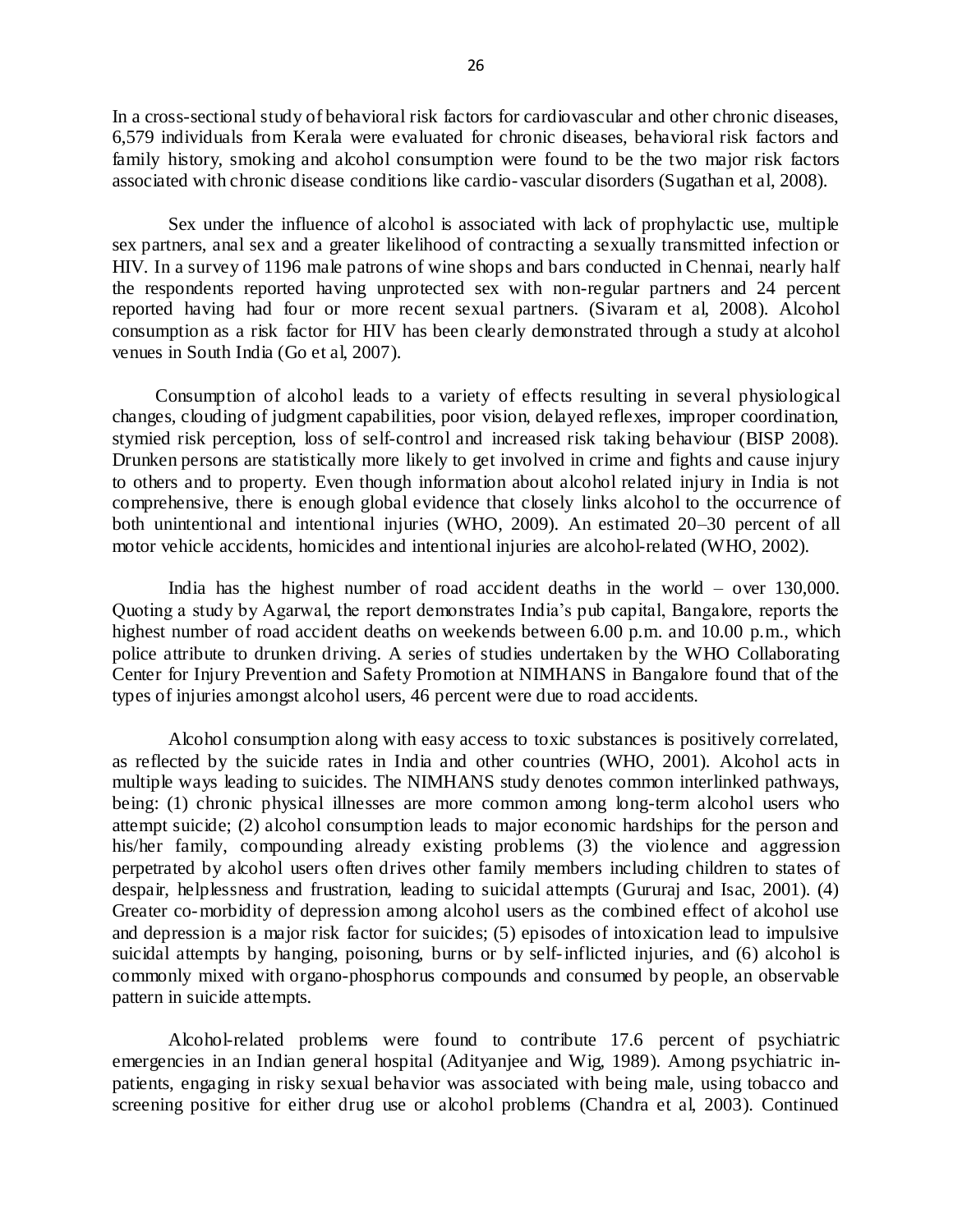In a cross-sectional study of behavioral risk factors for cardiovascular and other chronic diseases, 6,579 individuals from Kerala were evaluated for chronic diseases, behavioral risk factors and family history, smoking and alcohol consumption were found to be the two major risk factors associated with chronic disease conditions like cardio-vascular disorders (Sugathan et al, 2008).

Sex under the influence of alcohol is associated with lack of prophylactic use, multiple sex partners, anal sex and a greater likelihood of contracting a sexually transmitted infection or HIV. In a survey of 1196 male patrons of wine shops and bars conducted in Chennai, nearly half the respondents reported having unprotected sex with non-regular partners and 24 percent reported having had four or more recent sexual partners. (Sivaram et al, 2008). Alcohol consumption as a risk factor for HIV has been clearly demonstrated through a study at alcohol venues in South India (Go et al, 2007).

Consumption of alcohol leads to a variety of effects resulting in several physiological changes, clouding of judgment capabilities, poor vision, delayed reflexes, improper coordination, stymied risk perception, loss of self-control and increased risk taking behaviour (BISP 2008). Drunken persons are statistically more likely to get involved in crime and fights and cause injury to others and to property. Even though information about alcohol related injury in India is not comprehensive, there is enough global evidence that closely links alcohol to the occurrence of both unintentional and intentional injuries (WHO, 2009). An estimated 20–30 percent of all motor vehicle accidents, homicides and intentional injuries are alcohol-related (WHO, 2002).

India has the highest number of road accident deaths in the world – over 130,000. Quoting a study by Agarwal, the report demonstrates India's pub capital, Bangalore, reports the highest number of road accident deaths on weekends between 6.00 p.m. and 10.00 p.m., which police attribute to drunken driving. A series of studies undertaken by the WHO Collaborating Center for Injury Prevention and Safety Promotion at NIMHANS in Bangalore found that of the types of injuries amongst alcohol users, 46 percent were due to road accidents.

Alcohol consumption along with easy access to toxic substances is positively correlated, as reflected by the suicide rates in India and other countries (WHO, 2001). Alcohol acts in multiple ways leading to suicides. The NIMHANS study denotes common interlinked pathways, being: (1) chronic physical illnesses are more common among long-term alcohol users who attempt suicide; (2) alcohol consumption leads to major economic hardships for the person and his/her family, compounding already existing problems (3) the violence and aggression perpetrated by alcohol users often drives other family members including children to states of despair, helplessness and frustration, leading to suicidal attempts (Gururaj and Isac, 2001). (4) Greater co-morbidity of depression among alcohol users as the combined effect of alcohol use and depression is a major risk factor for suicides; (5) episodes of intoxication lead to impulsive suicidal attempts by hanging, poisoning, burns or by self-inflicted injuries, and (6) alcohol is commonly mixed with organo-phosphorus compounds and consumed by people, an observable pattern in suicide attempts.

Alcohol-related problems were found to contribute 17.6 percent of psychiatric emergencies in an Indian general hospital (Adityanjee and Wig, 1989). Among psychiatric inpatients, engaging in risky sexual behavior was associated with being male, using tobacco and screening positive for either drug use or alcohol problems (Chandra et al, 2003). Continued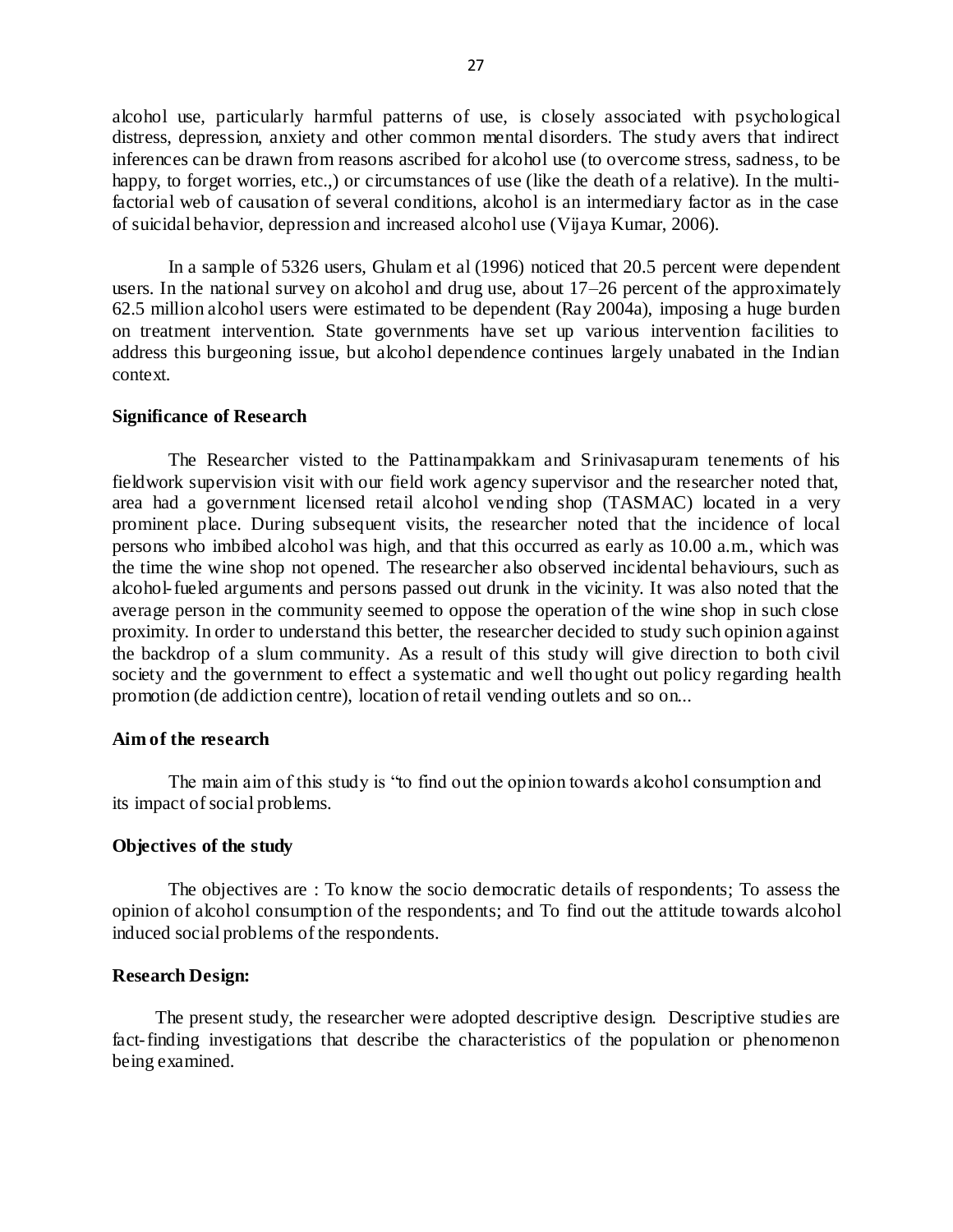alcohol use, particularly harmful patterns of use, is closely associated with psychological distress, depression, anxiety and other common mental disorders. The study avers that indirect inferences can be drawn from reasons ascribed for alcohol use (to overcome stress, sadness, to be happy, to forget worries, etc.,) or circumstances of use (like the death of a relative). In the multifactorial web of causation of several conditions, alcohol is an intermediary factor as in the case of suicidal behavior, depression and increased alcohol use (Vijaya Kumar, 2006).

In a sample of 5326 users, Ghulam et al (1996) noticed that 20.5 percent were dependent users. In the national survey on alcohol and drug use, about 17–26 percent of the approximately 62.5 million alcohol users were estimated to be dependent (Ray 2004a), imposing a huge burden on treatment intervention. State governments have set up various intervention facilities to address this burgeoning issue, but alcohol dependence continues largely unabated in the Indian context.

## **Significance of Research**

The Researcher visted to the Pattinampakkam and Srinivasapuram tenements of his fieldwork supervision visit with our field work agency supervisor and the researcher noted that, area had a government licensed retail alcohol vending shop (TASMAC) located in a very prominent place. During subsequent visits, the researcher noted that the incidence of local persons who imbibed alcohol was high, and that this occurred as early as 10.00 a.m., which was the time the wine shop not opened. The researcher also observed incidental behaviours, such as alcohol-fueled arguments and persons passed out drunk in the vicinity. It was also noted that the average person in the community seemed to oppose the operation of the wine shop in such close proximity. In order to understand this better, the researcher decided to study such opinion against the backdrop of a slum community. As a result of this study will give direction to both civil society and the government to effect a systematic and well thought out policy regarding health promotion (de addiction centre), location of retail vending outlets and so on...

### **Aim of the research**

The main aim of this study is "to find out the opinion towards alcohol consumption and its impact of social problems.

#### **Objectives of the study**

The objectives are : To know the socio democratic details of respondents; To assess the opinion of alcohol consumption of the respondents; and To find out the attitude towards alcohol induced social problems of the respondents.

## **Research Design:**

The present study, the researcher were adopted descriptive design. Descriptive studies are fact-finding investigations that describe the characteristics of the population or phenomenon being examined.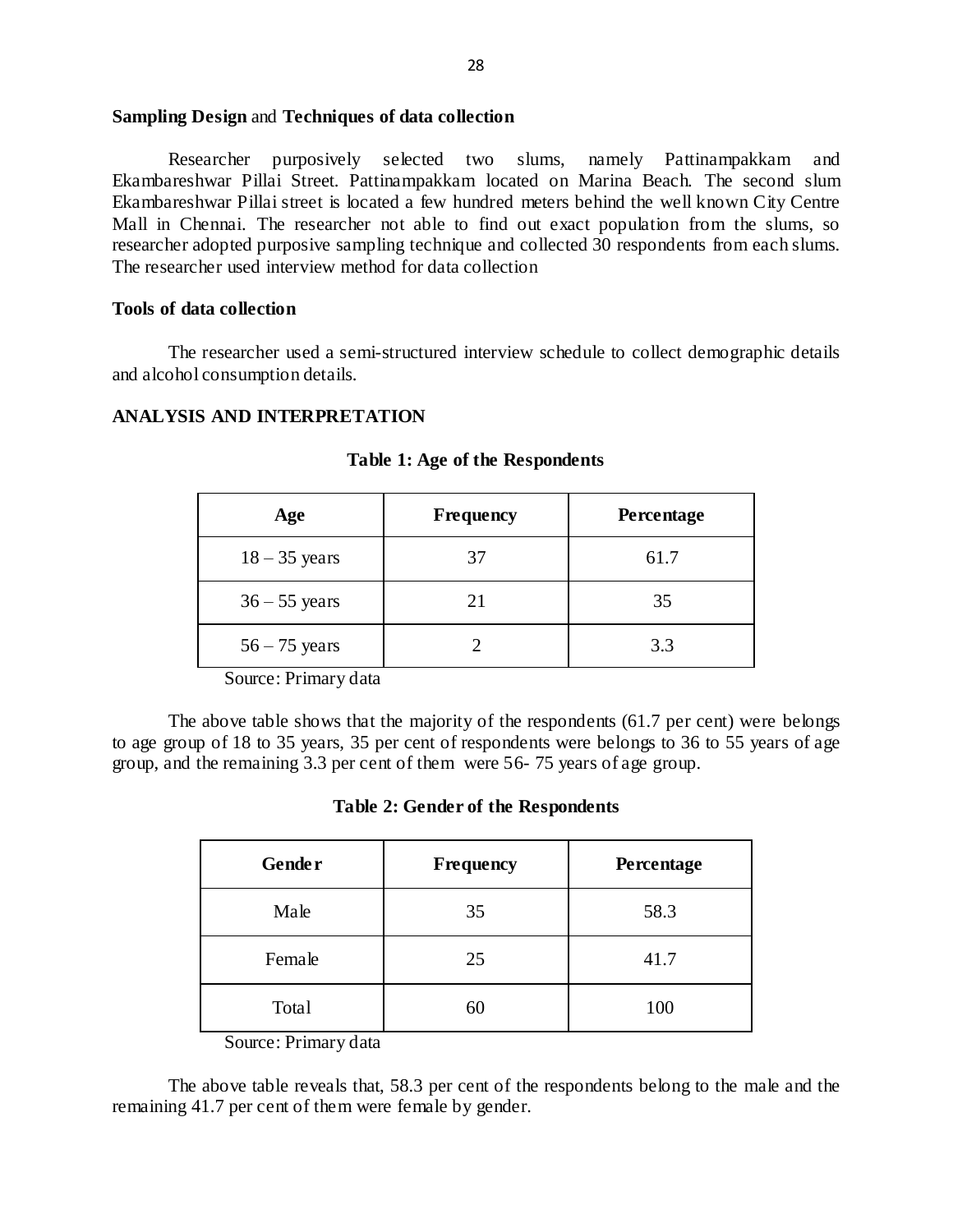### **Sampling Design** and **Techniques of data collection**

Researcher purposively selected two slums, namely Pattinampakkam and Ekambareshwar Pillai Street. Pattinampakkam located on Marina Beach. The second slum Ekambareshwar Pillai street is located a few hundred meters behind the well known City Centre Mall in Chennai. The researcher not able to find out exact population from the slums, so researcher adopted purposive sampling technique and collected 30 respondents from each slums. The researcher used interview method for data collection

## **Tools of data collection**

The researcher used a semi-structured interview schedule to collect demographic details and alcohol consumption details.

#### **ANALYSIS AND INTERPRETATION**

| Age             | Frequency | Percentage |
|-----------------|-----------|------------|
| $18 - 35$ years | 37        | 61.7       |
| $36 - 55$ years | 21        | 35         |
| $56 - 75$ years |           | 3.3        |

#### **Table 1: Age of the Respondents**

Source: Primary data

The above table shows that the majority of the respondents (61.7 per cent) were belongs to age group of 18 to 35 years, 35 per cent of respondents were belongs to 36 to 55 years of age group, and the remaining 3.3 per cent of them were 56- 75 years of age group.

## **Table 2: Gender of the Respondents**

| <b>Gender</b> | Frequency | Percentage |
|---------------|-----------|------------|
| Male          | 35        | 58.3       |
| Female        | 25        | 41.7       |
| Total         | 60        | 100        |

Source: Primary data

The above table reveals that, 58.3 per cent of the respondents belong to the male and the remaining 41.7 per cent of them were female by gender.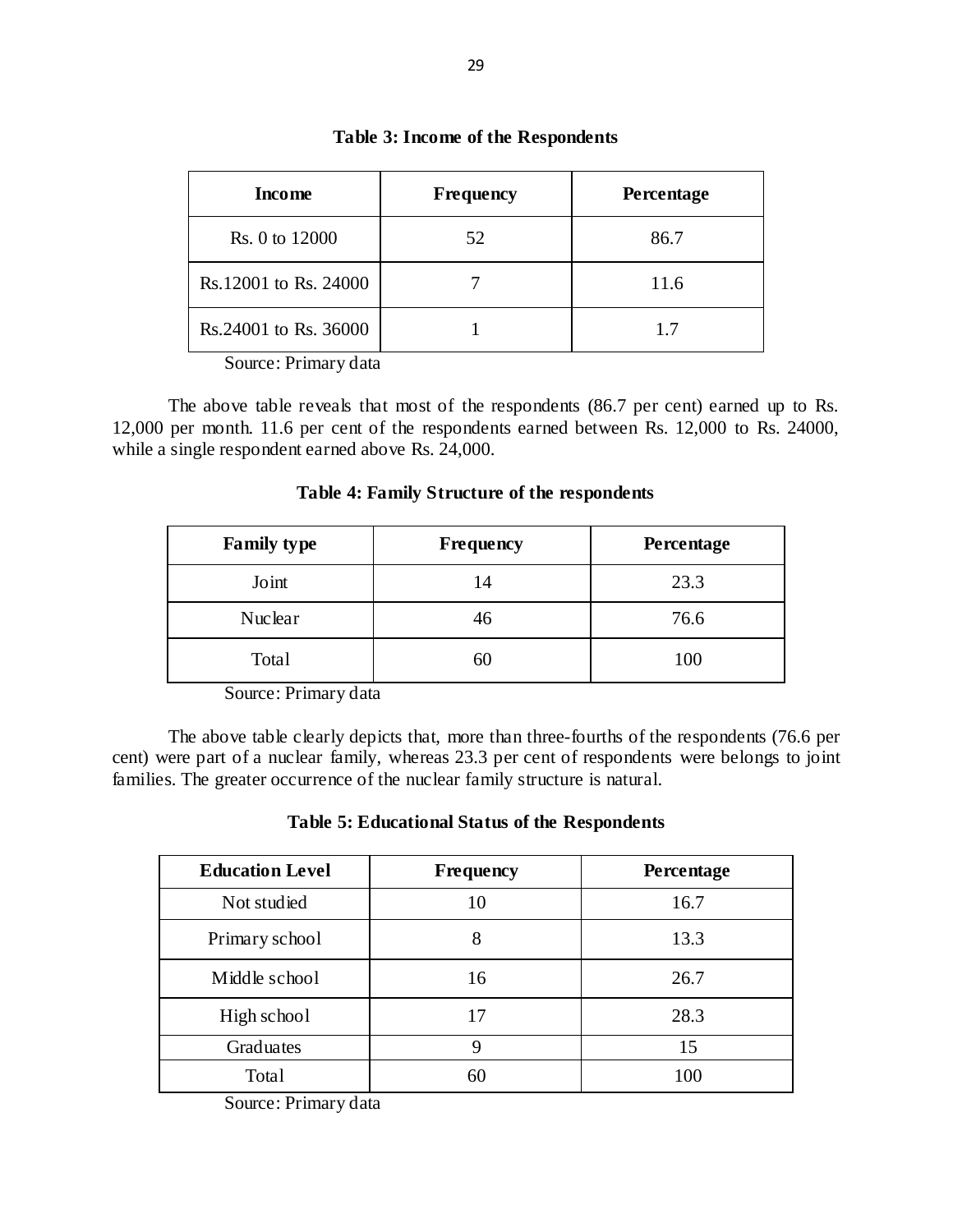| <b>Income</b>         | Frequency | Percentage |
|-----------------------|-----------|------------|
| Rs. 0 to 12000        | 52        | 86.7       |
| Rs.12001 to Rs. 24000 |           | 11.6       |
| Rs.24001 to Rs. 36000 |           | 17         |

## **Table 3: Income of the Respondents**

Source: Primary data

The above table reveals that most of the respondents (86.7 per cent) earned up to Rs. 12,000 per month. 11.6 per cent of the respondents earned between Rs. 12,000 to Rs. 24000, while a single respondent earned above Rs. 24,000.

| Table 4: Family Structure of the respondents |
|----------------------------------------------|
|----------------------------------------------|

| <b>Family type</b> | Frequency | <b>Percentage</b> |
|--------------------|-----------|-------------------|
| Joint              | 14        | 23.3              |
| Nuclear            | 46        | 76.6              |
| Total              | 60        | 100               |

Source: Primary data

The above table clearly depicts that, more than three-fourths of the respondents (76.6 per cent) were part of a nuclear family, whereas 23.3 per cent of respondents were belongs to joint families. The greater occurrence of the nuclear family structure is natural.

## **Table 5: Educational Status of the Respondents**

| <b>Education Level</b> | Frequency | Percentage |
|------------------------|-----------|------------|
| Not studied            | 10        | 16.7       |
| Primary school         | 8         | 13.3       |
| Middle school          | 16        | 26.7       |
| High school            | 17        | 28.3       |
| Graduates              | Q         | 15         |
| Total                  | 60        | 100        |

Source: Primary data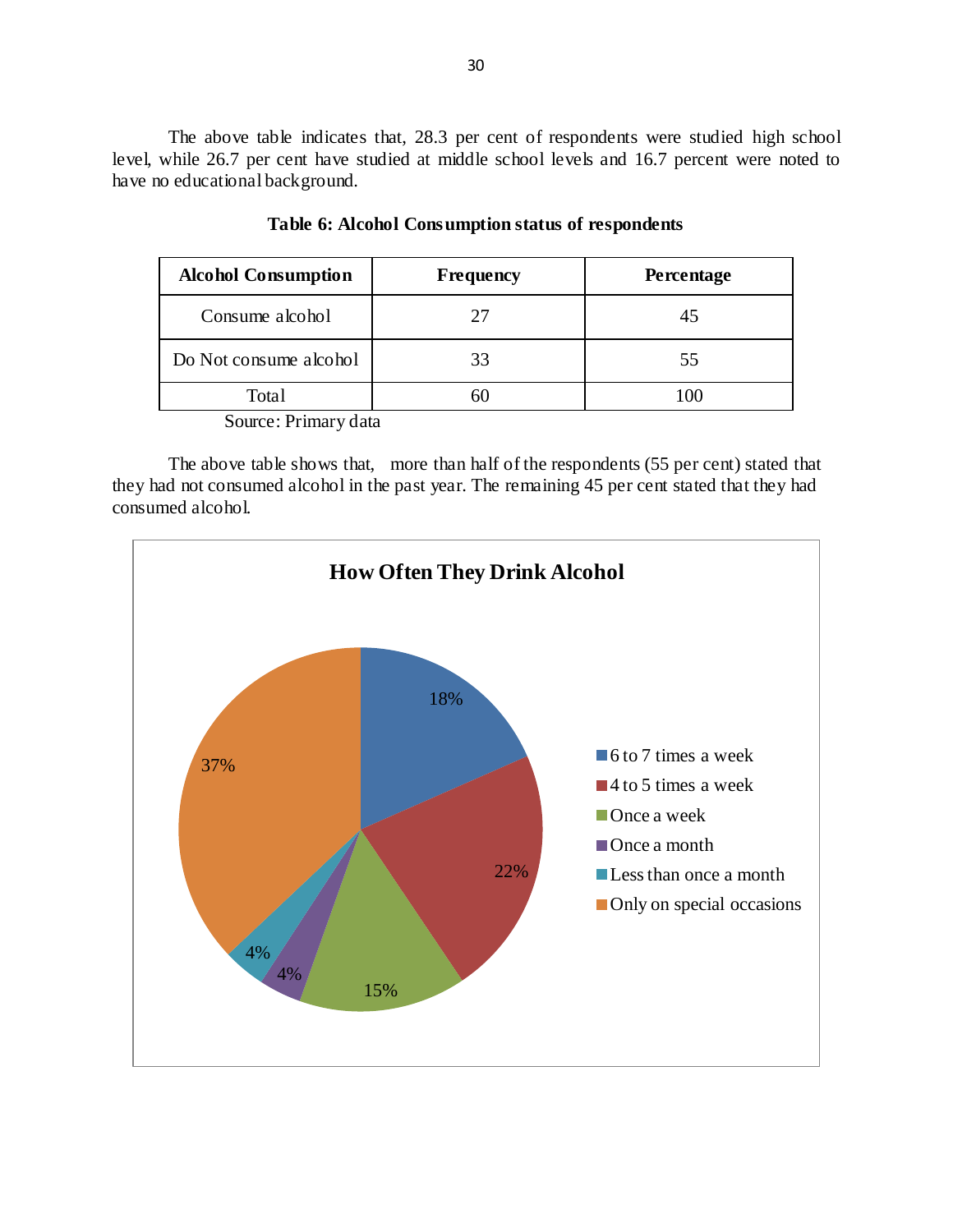The above table indicates that, 28.3 per cent of respondents were studied high school level, while 26.7 per cent have studied at middle school levels and 16.7 percent were noted to have no educational background.

| <b>Alcohol Consumption</b> | Frequency | <b>Percentage</b> |
|----------------------------|-----------|-------------------|
| Consume alcohol            | 27        | 45                |
| Do Not consume alcohol     | 33        | 55                |
| Total                      |           |                   |

|  | Table 6: Alcohol Consumption status of respondents |  |
|--|----------------------------------------------------|--|
|--|----------------------------------------------------|--|

Source: Primary data

The above table shows that, more than half of the respondents (55 per cent) stated that they had not consumed alcohol in the past year. The remaining 45 per cent stated that they had consumed alcohol.

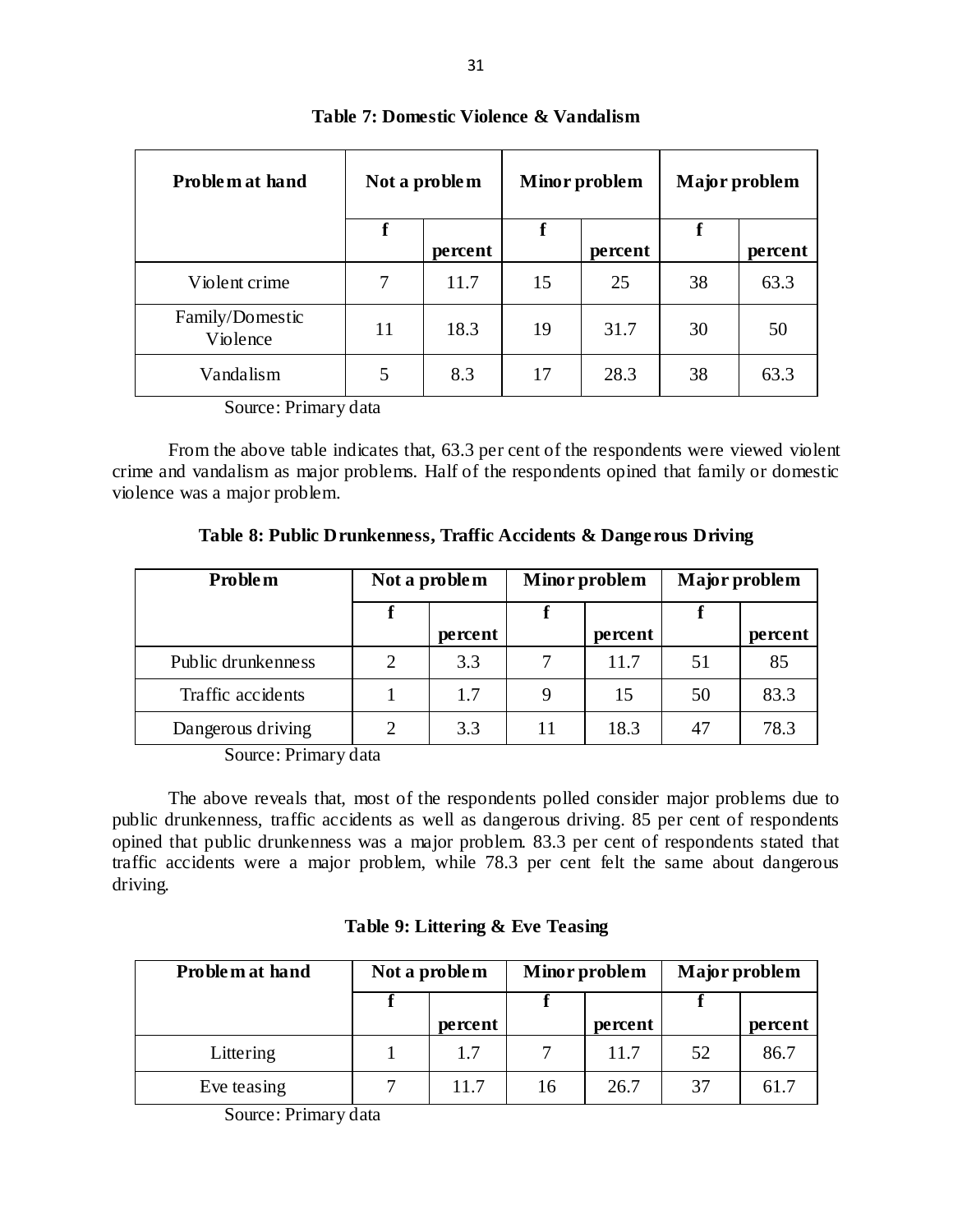| Problem at hand             | Not a problem |         | <b>Minor</b> problem |         | Major problem |         |
|-----------------------------|---------------|---------|----------------------|---------|---------------|---------|
|                             | f             | percent | f                    | percent | f             | percent |
| Violent crime               | 7             | 11.7    | 15                   | 25      | 38            | 63.3    |
| Family/Domestic<br>Violence | 11            | 18.3    | 19                   | 31.7    | 30            | 50      |
| Vandalism                   | 5             | 8.3     | 17                   | 28.3    | 38            | 63.3    |

## **Table 7: Domestic Violence & Vandalism**

Source: Primary data

From the above table indicates that, 63.3 per cent of the respondents were viewed violent crime and vandalism as major problems. Half of the respondents opined that family or domestic violence was a major problem.

**Table 8: Public Drunkenness, Traffic Accidents & Dangerous Driving**

| <b>Problem</b>     | Not a problem |         | Minor problem |         | Major problem |         |
|--------------------|---------------|---------|---------------|---------|---------------|---------|
|                    |               |         |               |         |               |         |
|                    |               | percent |               | percent |               | percent |
| Public drunkenness | 2             | 3.3     |               | 11.7    | 51            | 85      |
| Traffic accidents  |               | 1.7     |               | 15      | 50            | 83.3    |
| Dangerous driving  |               | 3.3     | 11            | 18.3    | 47            | 78.3    |

Source: Primary data

The above reveals that, most of the respondents polled consider major problems due to public drunkenness, traffic accidents as well as dangerous driving. 85 per cent of respondents opined that public drunkenness was a major problem. 83.3 per cent of respondents stated that traffic accidents were a major problem, while 78.3 per cent felt the same about dangerous driving.

|  |  |  |  |  |  | Table 9: Littering & Eve Teasing |
|--|--|--|--|--|--|----------------------------------|
|--|--|--|--|--|--|----------------------------------|

| Problem at hand | Not a problem |         | Minor problem |         | Major problem |         |
|-----------------|---------------|---------|---------------|---------|---------------|---------|
|                 |               |         |               |         |               |         |
|                 |               | percent |               | percent |               | percent |
| Littering       |               | 1.7     |               | 11.7    | 52            | 86.7    |
| Eve teasing     |               | 11.7    | 16            | 26.7    | 37            | 61.7    |

Source: Primary data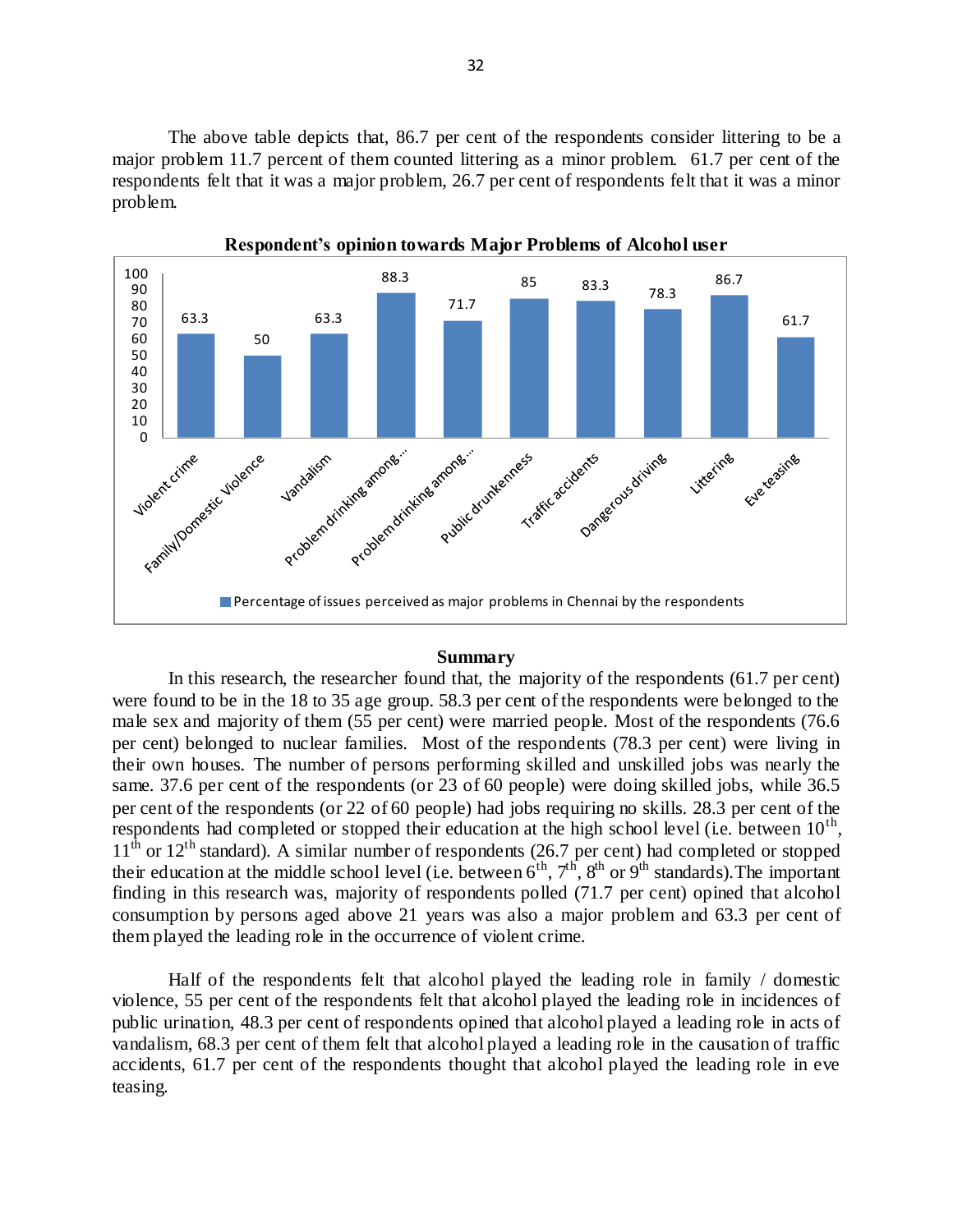The above table depicts that, 86.7 per cent of the respondents consider littering to be a major problem 11.7 percent of them counted littering as a minor problem. 61.7 per cent of the respondents felt that it was a major problem, 26.7 per cent of respondents felt that it was a minor problem.



# **Respondent's opinion towards Major Problems of Alcohol user**

### **Summary**

In this research, the researcher found that, the majority of the respondents (61.7 per cent) were found to be in the 18 to 35 age group. 58.3 per cent of the respondents were belonged to the male sex and majority of them (55 per cent) were married people. Most of the respondents (76.6 per cent) belonged to nuclear families. Most of the respondents (78.3 per cent) were living in their own houses. The number of persons performing skilled and unskilled jobs was nearly the same. 37.6 per cent of the respondents (or 23 of 60 people) were doing skilled jobs, while 36.5 per cent of the respondents (or 22 of 60 people) had jobs requiring no skills. 28.3 per cent of the respondents had completed or stopped their education at the high school level (i.e. between  $10^{th}$ ,  $11<sup>th</sup>$  or  $12<sup>th</sup>$  standard). A similar number of respondents (26.7 per cent) had completed or stopped their education at the middle school level (i.e. between  $6^{th}$ ,  $7^{th}$ ,  $8^{th}$  or  $9^{th}$  standards). The important finding in this research was, majority of respondents polled (71.7 per cent) opined that alcohol consumption by persons aged above 21 years was also a major problem and 63.3 per cent of them played the leading role in the occurrence of violent crime.

Half of the respondents felt that alcohol played the leading role in family / domestic violence, 55 per cent of the respondents felt that alcohol played the leading role in incidences of public urination, 48.3 per cent of respondents opined that alcohol played a leading role in acts of vandalism, 68.3 per cent of them felt that alcohol played a leading role in the causation of traffic accidents, 61.7 per cent of the respondents thought that alcohol played the leading role in eve teasing.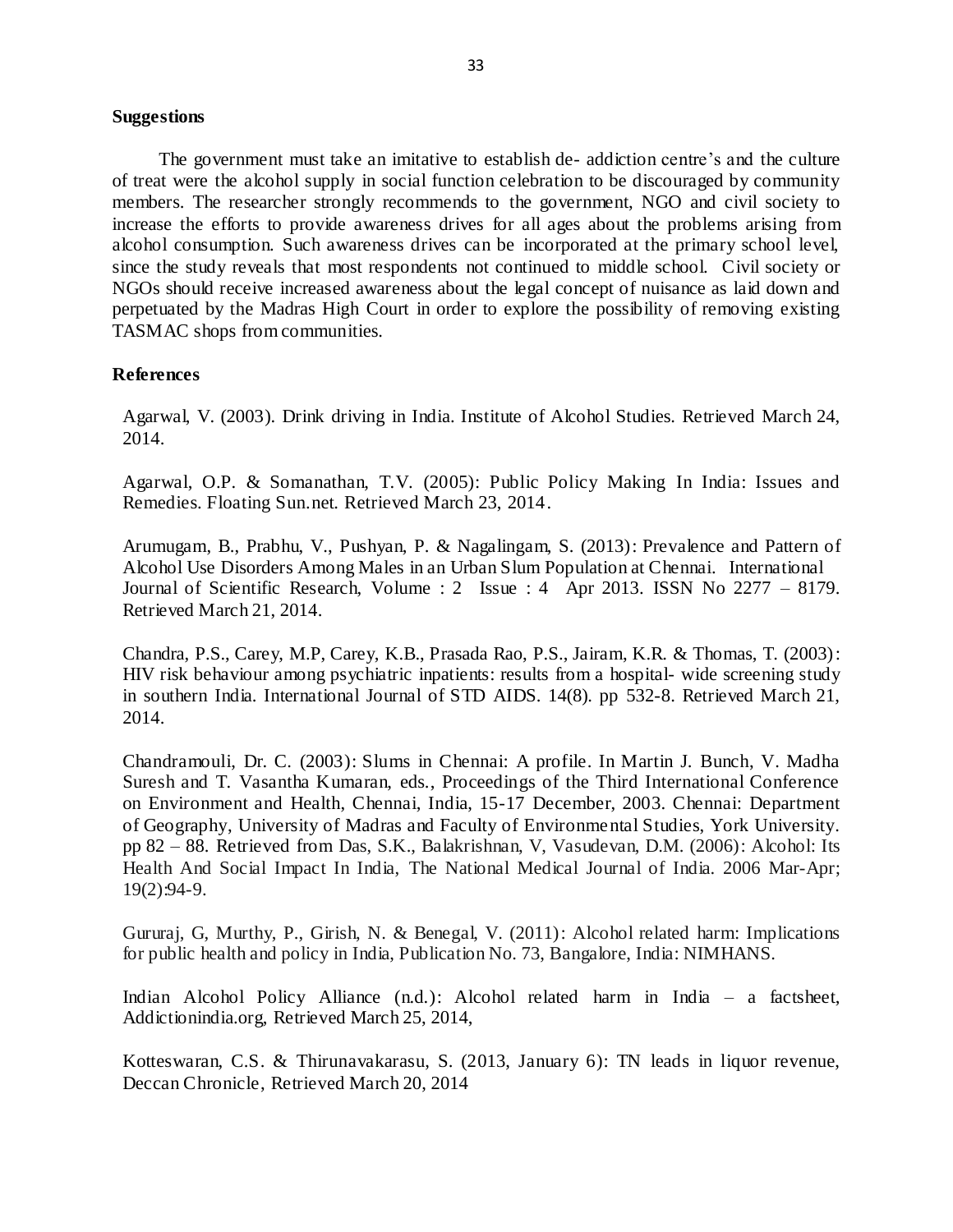#### **Suggestions**

The government must take an imitative to establish de- addiction centre's and the culture of treat were the alcohol supply in social function celebration to be discouraged by community members. The researcher strongly recommends to the government, NGO and civil society to increase the efforts to provide awareness drives for all ages about the problems arising from alcohol consumption. Such awareness drives can be incorporated at the primary school level, since the study reveals that most respondents not continued to middle school. Civil society or NGOs should receive increased awareness about the legal concept of nuisance as laid down and perpetuated by the Madras High Court in order to explore the possibility of removing existing TASMAC shops from communities.

## **References**

Agarwal, V. (2003). Drink driving in India. Institute of Alcohol Studies. Retrieved March 24, 2014.

Agarwal, O.P. & Somanathan, T.V. (2005): Public Policy Making In India: Issues and Remedies. Floating Sun.net. Retrieved March 23, 2014.

Arumugam, B., Prabhu, V., Pushyan, P. & Nagalingam, S. (2013): Prevalence and Pattern of Alcohol Use Disorders Among Males in an Urban Slum Population at Chennai. International Journal of Scientific Research, Volume : 2 Issue : 4 Apr 2013. ISSN No 2277 – 8179. Retrieved March 21, 2014.

Chandra, P.S., Carey, M.P, Carey, K.B., Prasada Rao, P.S., Jairam, K.R. & Thomas, T. (2003): HIV risk behaviour among psychiatric inpatients: results from a hospital- wide screening study in southern India. International Journal of STD AIDS. 14(8). pp 532-8. Retrieved March 21, 2014.

Chandramouli, Dr. C. (2003): Slums in Chennai: A profile. In Martin J. Bunch, V. Madha Suresh and T. Vasantha Kumaran, eds., Proceedings of the Third International Conference on Environment and Health, Chennai, India, 15-17 December, 2003. Chennai: Department of Geography, University of Madras and Faculty of Environmental Studies, York University. pp 82 – 88. Retrieved from Das, S.K., Balakrishnan, V, Vasudevan, D.M. (2006): Alcohol: Its Health And Social Impact In India, The National Medical Journal of India. 2006 Mar-Apr; 19(2):94-9.

Gururaj, G, Murthy, P., Girish, N. & Benegal, V. (2011): Alcohol related harm: Implications for public health and policy in India, Publication No. 73, Bangalore, India: NIMHANS.

Indian Alcohol Policy Alliance (n.d.): Alcohol related harm in India – a factsheet, Addictionindia.org, Retrieved March 25, 2014,

Kotteswaran, C.S. & Thirunavakarasu, S. (2013, January 6): TN leads in liquor revenue, Deccan Chronicle, Retrieved March 20, 2014